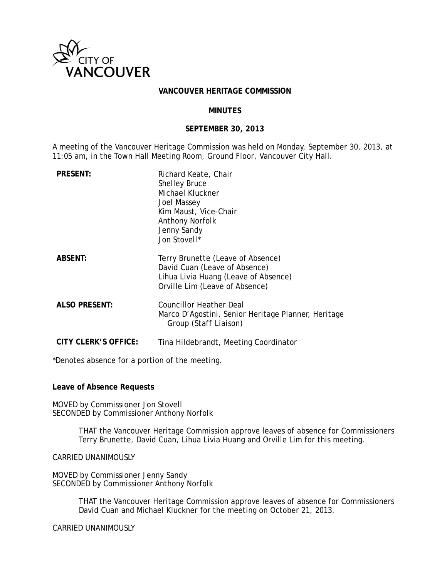

#### **VANCOUVER HERITAGE COMMISSION**

#### **MINUTES**

#### **SEPTEMBER 30, 2013**

A meeting of the Vancouver Heritage Commission was held on Monday, September 30, 2013, at 11:05 am, in the Town Hall Meeting Room, Ground Floor, Vancouver City Hall.

| <b>PRESENT:</b>      | Richard Keate, Chair<br><b>Shelley Bruce</b><br>Michael Kluckner<br>Joel Massey<br>Kim Maust, Vice-Chair<br>Anthony Norfolk<br>Jenny Sandy<br>Jon Stovell* |
|----------------------|------------------------------------------------------------------------------------------------------------------------------------------------------------|
| <b>ABSENT:</b>       | Terry Brunette (Leave of Absence)<br>David Cuan (Leave of Absence)<br>Lihua Livia Huang (Leave of Absence)<br>Orville Lim (Leave of Absence)               |
| <b>ALSO PRESENT:</b> | <b>Councillor Heather Deal</b><br>Marco D'Agostini, Senior Heritage Planner, Heritage<br>Group <i>(Staff Liaison)</i>                                      |
| CITY CLERK'S OFFICE: | Tina Hildebrandt, Meeting Coordinator                                                                                                                      |

\*Denotes absence for a portion of the meeting.

### **Leave of Absence Requests**

MOVED by Commissioner Jon Stovell SECONDED by Commissioner Anthony Norfolk

> THAT the Vancouver Heritage Commission approve leaves of absence for Commissioners Terry Brunette, David Cuan, Lihua Livia Huang and Orville Lim for this meeting.

CARRIED UNANIMOUSLY

MOVED by Commissioner Jenny Sandy SECONDED by Commissioner Anthony Norfolk

> THAT the Vancouver Heritage Commission approve leaves of absence for Commissioners David Cuan and Michael Kluckner for the meeting on October 21, 2013.

CARRIED UNANIMOUSLY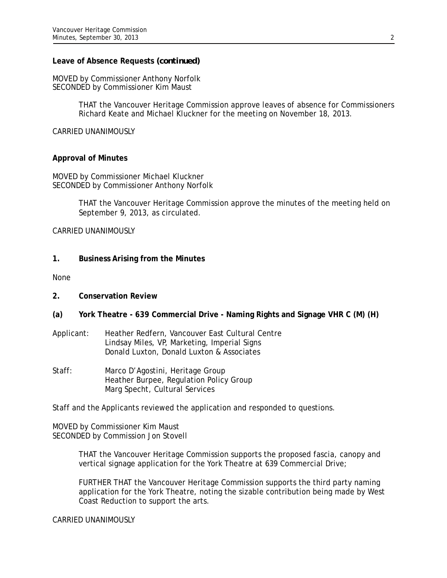### **Leave of Absence Requests** *(continued)*

MOVED by Commissioner Anthony Norfolk SECONDED by Commissioner Kim Maust

> THAT the Vancouver Heritage Commission approve leaves of absence for Commissioners Richard Keate and Michael Kluckner for the meeting on November 18, 2013.

CARRIED UNANIMOUSLY

### **Approval of Minutes**

MOVED by Commissioner Michael Kluckner SECONDED by Commissioner Anthony Norfolk

> THAT the Vancouver Heritage Commission approve the minutes of the meeting held on September 9, 2013, as circulated.

CARRIED UNANIMOUSLY

**1. Business Arising from the Minutes** 

None

- **2. Conservation Review**
- **(a) York Theatre 639 Commercial Drive Naming Rights and Signage VHR C (M) (H)**
- Applicant: Heather Redfern, Vancouver East Cultural Centre Lindsay Miles, VP, Marketing, Imperial Signs Donald Luxton, Donald Luxton & Associates
- Staff: Marco D'Agostini, Heritage Group Heather Burpee, Regulation Policy Group Marg Specht, Cultural Services

Staff and the Applicants reviewed the application and responded to questions.

MOVED by Commissioner Kim Maust SECONDED by Commission Jon Stovell

> THAT the Vancouver Heritage Commission supports the proposed fascia, canopy and vertical signage application for the York Theatre at 639 Commercial Drive;

FURTHER THAT the Vancouver Heritage Commission supports the third party naming application for the York Theatre, noting the sizable contribution being made by West Coast Reduction to support the arts.

CARRIED UNANIMOUSLY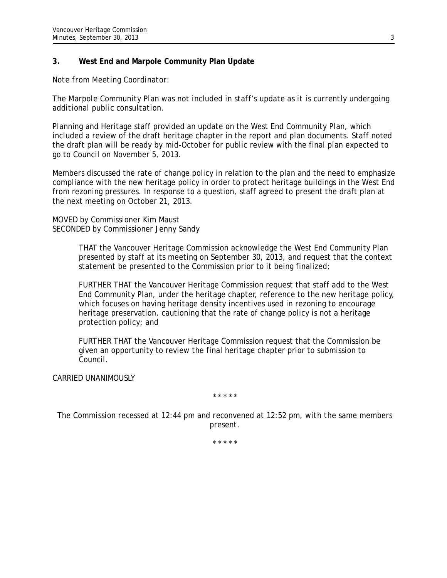## **3. West End and Marpole Community Plan Update**

*Note from Meeting Coordinator:* 

*The Marpole Community Plan was not included in staff's update as it is currently undergoing additional public consultation.* 

Planning and Heritage staff provided an update on the West End Community Plan, which included a review of the draft heritage chapter in the report and plan documents. Staff noted the draft plan will be ready by mid-October for public review with the final plan expected to go to Council on November 5, 2013.

Members discussed the rate of change policy in relation to the plan and the need to emphasize compliance with the new heritage policy in order to protect heritage buildings in the West End from rezoning pressures. In response to a question, staff agreed to present the draft plan at the next meeting on October 21, 2013.

MOVED by Commissioner Kim Maust SECONDED by Commissioner Jenny Sandy

> THAT the Vancouver Heritage Commission acknowledge the West End Community Plan presented by staff at its meeting on September 30, 2013, and request that the context statement be presented to the Commission prior to it being finalized;

> FURTHER THAT the Vancouver Heritage Commission request that staff add to the West End Community Plan, under the heritage chapter, reference to the new heritage policy, which focuses on having heritage density incentives used in rezoning to encourage heritage preservation, cautioning that the rate of change policy is not a heritage protection policy; and

FURTHER THAT the Vancouver Heritage Commission request that the Commission be given an opportunity to review the final heritage chapter prior to submission to Council.

CARRIED UNANIMOUSLY

*\* \* \* \* \** 

*The Commission recessed at 12:44 pm and reconvened at 12:52 pm, with the same members present.* 

*\* \* \* \* \**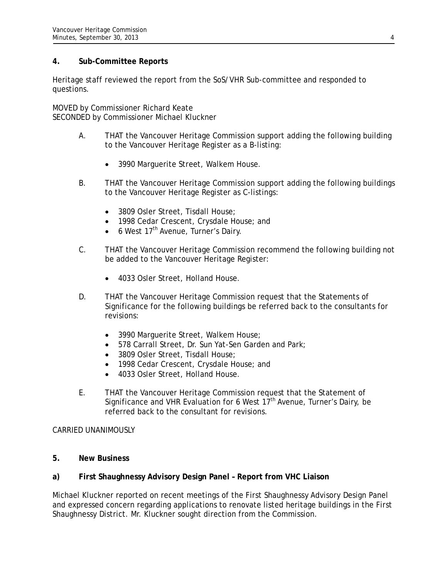## **4. Sub-Committee Reports**

Heritage staff reviewed the report from the SoS/VHR Sub-committee and responded to questions.

MOVED by Commissioner Richard Keate SECONDED by Commissioner Michael Kluckner

- A. THAT the Vancouver Heritage Commission support adding the following building to the Vancouver Heritage Register as a B-listing:
	- 3990 Marguerite Street, Walkem House.
- B. THAT the Vancouver Heritage Commission support adding the following buildings to the Vancouver Heritage Register as C-listings:
	- 3809 Osler Street, Tisdall House;
	- 1998 Cedar Crescent, Crysdale House; and
	- $\bullet$  6 West 17<sup>th</sup> Avenue, Turner's Dairy.
- C. THAT the Vancouver Heritage Commission recommend the following building not be added to the Vancouver Heritage Register:
	- 4033 Osler Street, Holland House.
- D. THAT the Vancouver Heritage Commission request that the Statements of Significance for the following buildings be referred back to the consultants for revisions:
	- 3990 Marquerite Street, Walkem House;
	- 578 Carrall Street, Dr. Sun Yat-Sen Garden and Park;
	- 3809 Osler Street, Tisdall House;
	- 1998 Cedar Crescent, Crysdale House; and
	- 4033 Osler Street, Holland House.
- E. THAT the Vancouver Heritage Commission request that the Statement of Significance and VHR Evaluation for 6 West  $17<sup>th</sup>$  Avenue, Turner's Dairy, be referred back to the consultant for revisions.

## CARRIED UNANIMOUSLY

**5. New Business** 

## **a) First Shaughnessy Advisory Design Panel – Report from VHC Liaison**

Michael Kluckner reported on recent meetings of the First Shaughnessy Advisory Design Panel and expressed concern regarding applications to renovate listed heritage buildings in the First Shaughnessy District. Mr. Kluckner sought direction from the Commission.